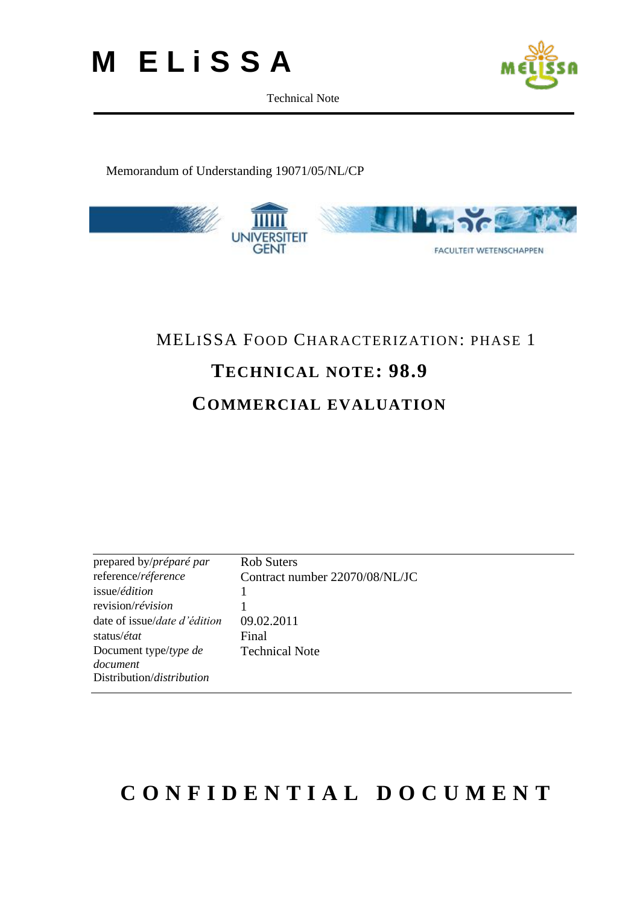



#### Memorandum of Understanding 19071/05/NL/CP



### MELISSA FOOD CHARACTERIZATION: PHASE 1

### **TECHNICAL NOTE: 98.9**

### **COMMERCIAL EVALUATION**

| prepared by/préparé par              | <b>Rob Suters</b>              |
|--------------------------------------|--------------------------------|
| reference/réference                  | Contract number 22070/08/NL/JC |
| issue/édition                        |                                |
| revision/révision                    |                                |
| date of issue/ <i>date d'édition</i> | 09.02.2011                     |
| status/ <i>état</i>                  | Final                          |
| Document type/type de                | <b>Technical Note</b>          |
| document                             |                                |
| Distribution/distribution            |                                |
|                                      |                                |

### **C O N F I D E N T I A L D O C U M E N T**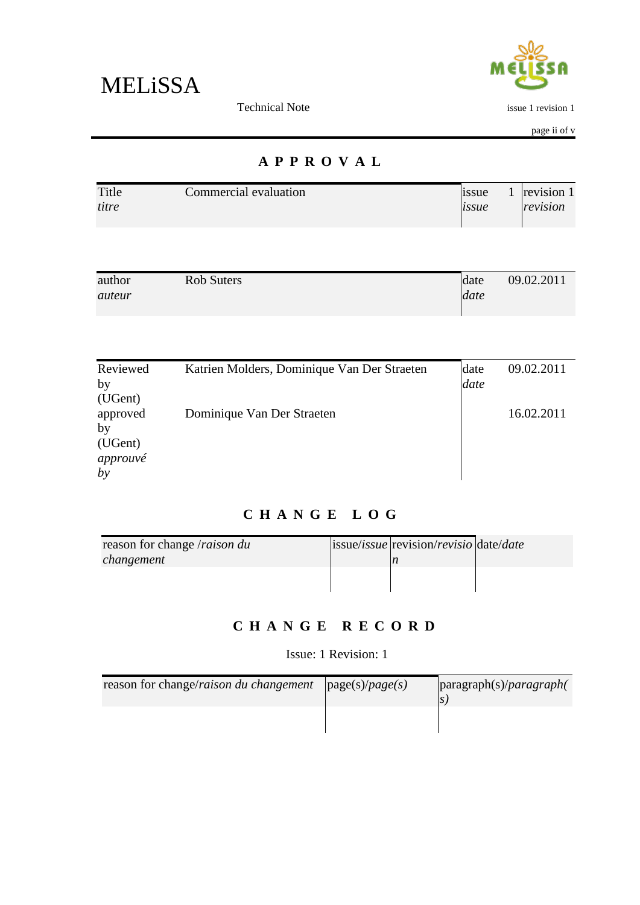



issue 1 revision 1

page ii of v

### **A P P R O V A L**

| Title | Commercial evaluation | 1ssue               | revision 1 |
|-------|-----------------------|---------------------|------------|
| titre |                       | <i><b>issue</b></i> | revision   |
|       |                       |                     |            |

| author | Rob Suters | date | 09.02.2011 |
|--------|------------|------|------------|
| auteur |            | date |            |
|        |            |      |            |

| Reviewed | Katrien Molders, Dominique Van Der Straeten | date | 09.02.2011 |
|----------|---------------------------------------------|------|------------|
| by       |                                             | date |            |
| (UGent)  |                                             |      |            |
| approved | Dominique Van Der Straeten                  |      | 16.02.2011 |
| by       |                                             |      |            |
| (UGent)  |                                             |      |            |
| approuvé |                                             |      |            |
| by       |                                             |      |            |

### **C H A N G E L O G**

| reason for change /raison du | $ issue $ issue/ <i>issue</i> $ revision/revisio date date $ |  |
|------------------------------|--------------------------------------------------------------|--|
| changement                   |                                                              |  |
|                              |                                                              |  |
|                              |                                                              |  |

### **C H A N G E R E C O R D**

Issue: 1 Revision: 1

| reason for change/raison du changement | $\vert \text{page}(s)/\text{page}(s) \vert$ | paragraph(s)/paragraph( |
|----------------------------------------|---------------------------------------------|-------------------------|
|                                        |                                             |                         |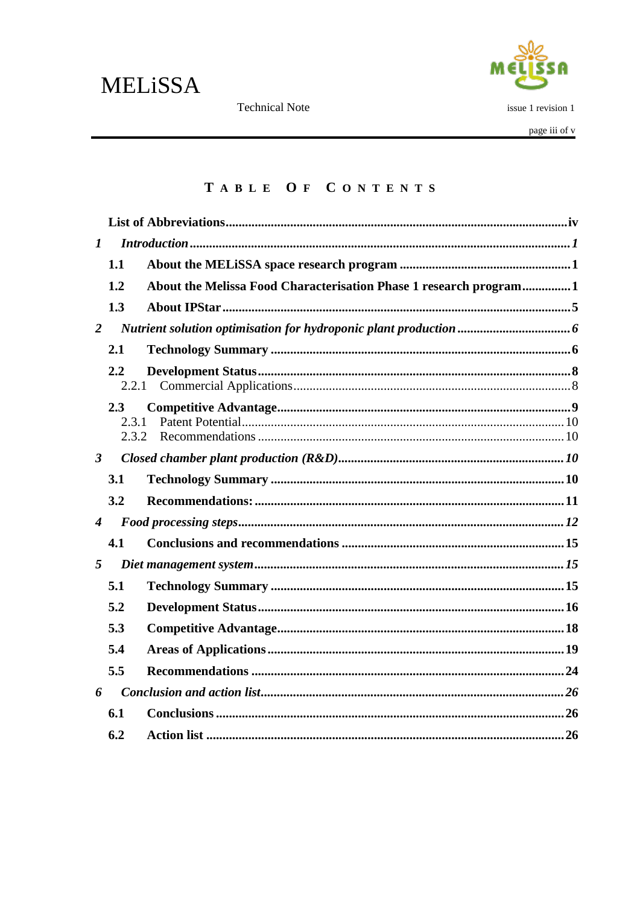**Technical Note** 



issue 1 revision 1

page iii of v

### TABLE OF CONTENTS

| $\boldsymbol{l}$     |                  |                                                                   |  |
|----------------------|------------------|-------------------------------------------------------------------|--|
|                      | 1.1              |                                                                   |  |
|                      | 1.2              | About the Melissa Food Characterisation Phase 1 research program1 |  |
|                      | 1.3              |                                                                   |  |
| $\overline{2}$       |                  |                                                                   |  |
|                      | 2.1              |                                                                   |  |
|                      | $2.2\,$<br>2.2.1 |                                                                   |  |
|                      | 2.3              |                                                                   |  |
|                      | 2.3.1            |                                                                   |  |
|                      | 2.3.2            |                                                                   |  |
| $\boldsymbol{\beta}$ |                  |                                                                   |  |
|                      | 3.1              |                                                                   |  |
|                      | 3.2              |                                                                   |  |
| $\boldsymbol{4}$     |                  |                                                                   |  |
|                      | 4.1              |                                                                   |  |
| 5                    |                  |                                                                   |  |
|                      | 5.1              |                                                                   |  |
|                      | 5.2              |                                                                   |  |
|                      | 5.3              |                                                                   |  |
|                      | 5.4              |                                                                   |  |
|                      | 5.5              |                                                                   |  |
| 6                    |                  |                                                                   |  |
|                      | 6.1              |                                                                   |  |
|                      | 6.2              |                                                                   |  |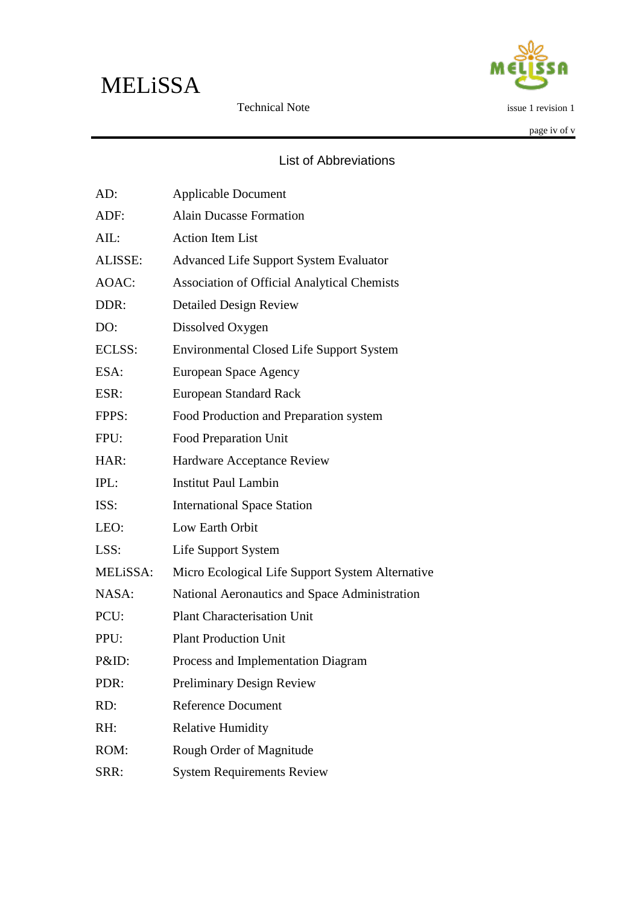

issue 1 revision 1

page iv of v

#### List of Abbreviations

Technical Note

<span id="page-3-0"></span>

| AD:      | <b>Applicable Document</b>                         |
|----------|----------------------------------------------------|
| ADF:     | <b>Alain Ducasse Formation</b>                     |
| AIL:     | <b>Action Item List</b>                            |
| ALISSE:  | <b>Advanced Life Support System Evaluator</b>      |
| AOAC:    | <b>Association of Official Analytical Chemists</b> |
| DDR:     | <b>Detailed Design Review</b>                      |
| DO:      | Dissolved Oxygen                                   |
| ECLSS:   | <b>Environmental Closed Life Support System</b>    |
| ESA:     | European Space Agency                              |
| ESR:     | <b>European Standard Rack</b>                      |
| FPPS:    | Food Production and Preparation system             |
| FPU:     | <b>Food Preparation Unit</b>                       |
| HAR:     | Hardware Acceptance Review                         |
| IPL:     | <b>Institut Paul Lambin</b>                        |
| ISS:     | <b>International Space Station</b>                 |
| LEO:     | Low Earth Orbit                                    |
| LSS:     | Life Support System                                |
| MELiSSA: | Micro Ecological Life Support System Alternative   |
| NASA:    | National Aeronautics and Space Administration      |
| PCU:     | <b>Plant Characterisation Unit</b>                 |
| PPU:     | <b>Plant Production Unit</b>                       |
| P&ID:    | Process and Implementation Diagram                 |
| PDR:     | <b>Preliminary Design Review</b>                   |
| RD:      | Reference Document                                 |
| RH:      | <b>Relative Humidity</b>                           |
| ROM:     | Rough Order of Magnitude                           |
| SRR:     | <b>System Requirements Review</b>                  |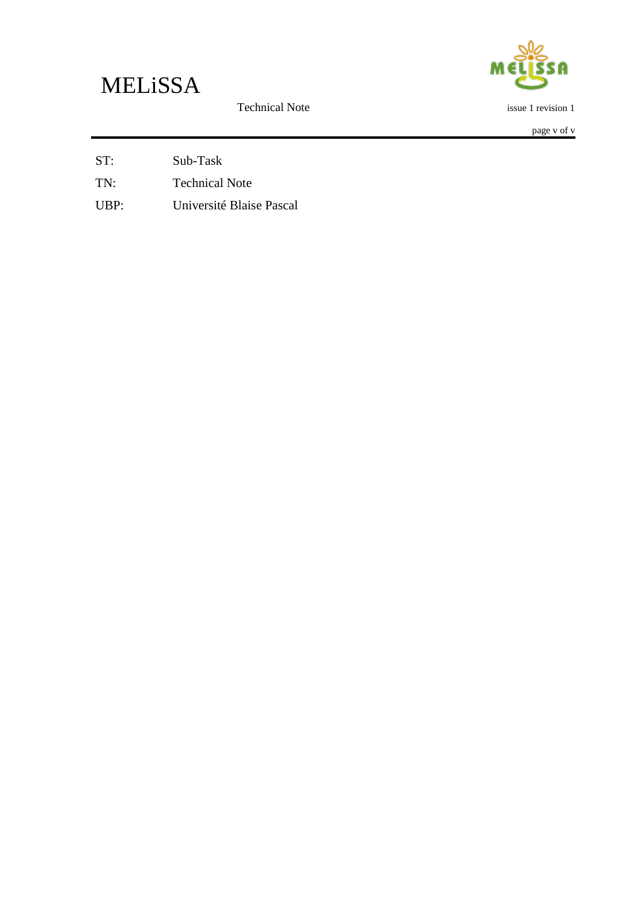ſ A

Technical Note

page v of v

issue 1 revision 1

ST: Sub-Task

TN: Technical Note

UBP: Université Blaise Pascal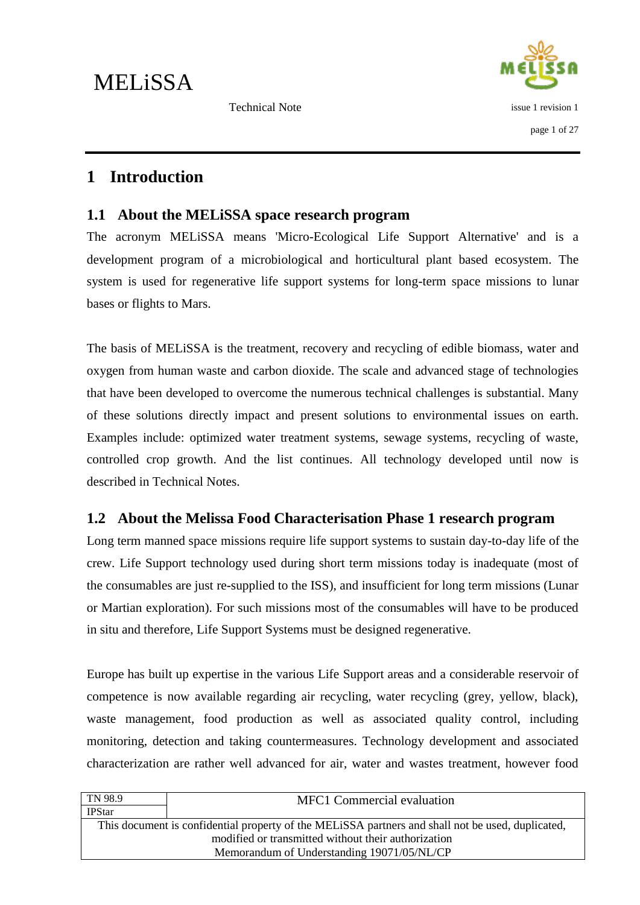

### <span id="page-5-0"></span>**1 Introduction**

#### <span id="page-5-1"></span>**1.1 About the MELiSSA space research program**

The acronym MELiSSA means 'Micro-Ecological Life Support Alternative' and is a development program of a microbiological and horticultural plant based ecosystem. The system is used for regenerative life support systems for long-term space missions to lunar bases or flights to Mars.

The basis of MELiSSA is the treatment, recovery and recycling of edible biomass, water and oxygen from human waste and carbon dioxide. The scale and advanced stage of technologies that have been developed to overcome the numerous technical challenges is substantial. Many of these solutions directly impact and present solutions to environmental issues on earth. Examples include: optimized water treatment systems, sewage systems, recycling of waste, controlled crop growth. And the list continues. All technology developed until now is described in Technical Notes.

### <span id="page-5-2"></span>**1.2 About the Melissa Food Characterisation Phase 1 research program**

Long term manned space missions require life support systems to sustain day-to-day life of the crew. Life Support technology used during short term missions today is inadequate (most of the consumables are just re-supplied to the ISS), and insufficient for long term missions (Lunar or Martian exploration). For such missions most of the consumables will have to be produced in situ and therefore, Life Support Systems must be designed regenerative.

Europe has built up expertise in the various Life Support areas and a considerable reservoir of competence is now available regarding air recycling, water recycling (grey, yellow, black), waste management, food production as well as associated quality control, including monitoring, detection and taking countermeasures. Technology development and associated characterization are rather well advanced for air, water and wastes treatment, however food

| This document is confidential property of the MELISSA partners and shall not be used, duplicated, |  |
|---------------------------------------------------------------------------------------------------|--|
|                                                                                                   |  |
| Memorandum of Understanding 19071/05/NL/CP                                                        |  |
|                                                                                                   |  |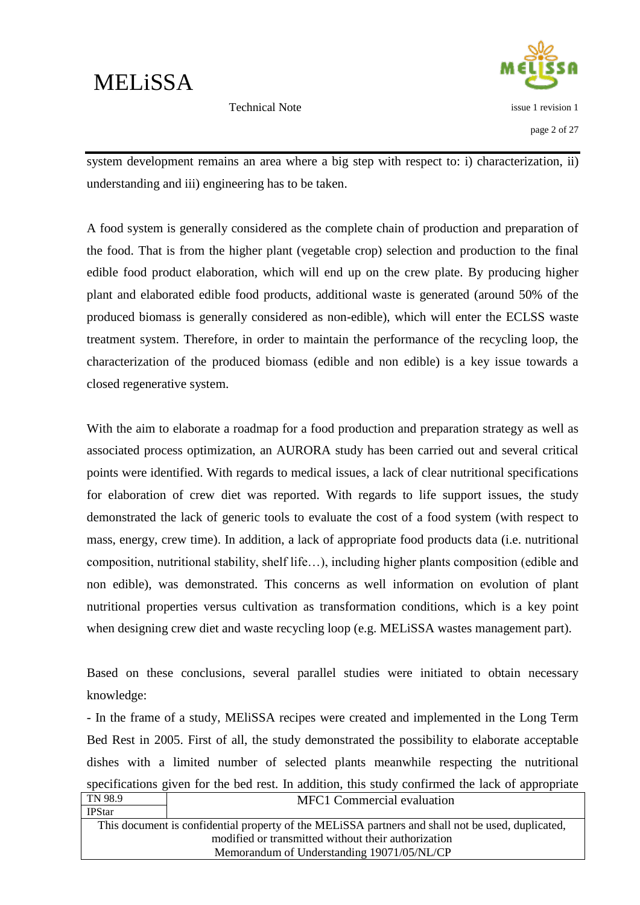issue 1 revision 1

Technical Note

page 2 of 27

system development remains an area where a big step with respect to: i) characterization, ii) understanding and iii) engineering has to be taken.

A food system is generally considered as the complete chain of production and preparation of the food. That is from the higher plant (vegetable crop) selection and production to the final edible food product elaboration, which will end up on the crew plate. By producing higher plant and elaborated edible food products, additional waste is generated (around 50% of the produced biomass is generally considered as non-edible), which will enter the ECLSS waste treatment system. Therefore, in order to maintain the performance of the recycling loop, the characterization of the produced biomass (edible and non edible) is a key issue towards a closed regenerative system.

With the aim to elaborate a roadmap for a food production and preparation strategy as well as associated process optimization, an AURORA study has been carried out and several critical points were identified. With regards to medical issues, a lack of clear nutritional specifications for elaboration of crew diet was reported. With regards to life support issues, the study demonstrated the lack of generic tools to evaluate the cost of a food system (with respect to mass, energy, crew time). In addition, a lack of appropriate food products data (i.e. nutritional composition, nutritional stability, shelf life…), including higher plants composition (edible and non edible), was demonstrated. This concerns as well information on evolution of plant nutritional properties versus cultivation as transformation conditions, which is a key point when designing crew diet and waste recycling loop (e.g. MELiSSA wastes management part).

Based on these conclusions, several parallel studies were initiated to obtain necessary knowledge:

TN 98.9 MFC1 Commercial evaluation - In the frame of a study, MEliSSA recipes were created and implemented in the Long Term Bed Rest in 2005. First of all, the study demonstrated the possibility to elaborate acceptable dishes with a limited number of selected plants meanwhile respecting the nutritional specifications given for the bed rest. In addition, this study confirmed the lack of appropriate

| <b>IPStar</b> |                                                                                                   |
|---------------|---------------------------------------------------------------------------------------------------|
|               | This document is confidential property of the MELISSA partners and shall not be used, duplicated, |
|               | modified or transmitted without their authorization                                               |
|               | Memorandum of Understanding 19071/05/NL/CP                                                        |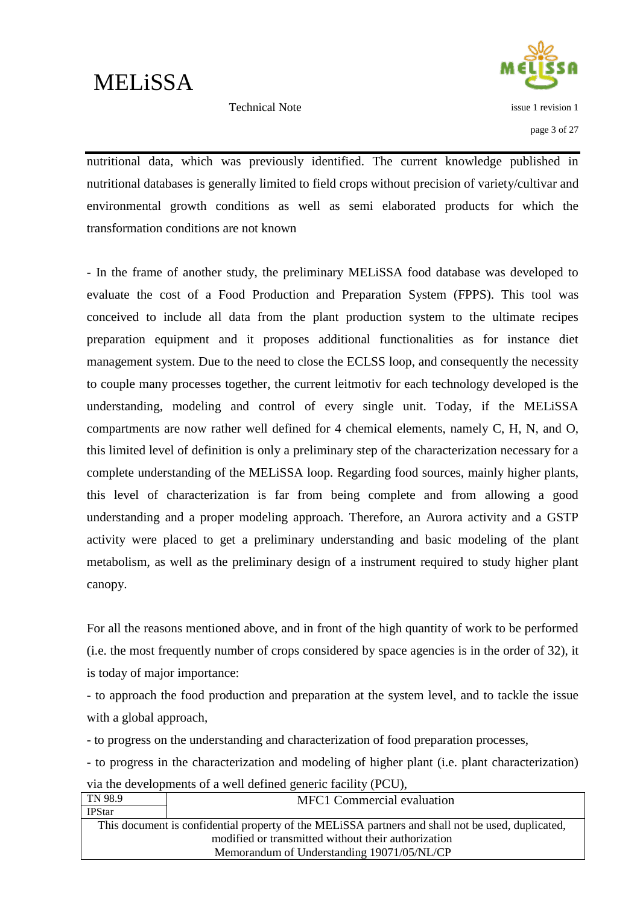

Technical Note

page 3 of 27

nutritional data, which was previously identified. The current knowledge published in nutritional databases is generally limited to field crops without precision of variety/cultivar and environmental growth conditions as well as semi elaborated products for which the transformation conditions are not known

- In the frame of another study, the preliminary MELiSSA food database was developed to evaluate the cost of a Food Production and Preparation System (FPPS). This tool was conceived to include all data from the plant production system to the ultimate recipes preparation equipment and it proposes additional functionalities as for instance diet management system. Due to the need to close the ECLSS loop, and consequently the necessity to couple many processes together, the current leitmotiv for each technology developed is the understanding, modeling and control of every single unit. Today, if the MELiSSA compartments are now rather well defined for 4 chemical elements, namely C, H, N, and O, this limited level of definition is only a preliminary step of the characterization necessary for a complete understanding of the MELiSSA loop. Regarding food sources, mainly higher plants, this level of characterization is far from being complete and from allowing a good understanding and a proper modeling approach. Therefore, an Aurora activity and a GSTP activity were placed to get a preliminary understanding and basic modeling of the plant metabolism, as well as the preliminary design of a instrument required to study higher plant canopy.

For all the reasons mentioned above, and in front of the high quantity of work to be performed (i.e. the most frequently number of crops considered by space agencies is in the order of 32), it is today of major importance:

- to approach the food production and preparation at the system level, and to tackle the issue with a global approach,

- to progress on the understanding and characterization of food preparation processes,

- to progress in the characterization and modeling of higher plant (i.e. plant characterization) via the developments of a well defined generic facility (PCU),

| TN 98.9                                                                                           | MFC1 Commercial evaluation |  |
|---------------------------------------------------------------------------------------------------|----------------------------|--|
| <b>IPStar</b>                                                                                     |                            |  |
| This document is confidential property of the MELISSA partners and shall not be used, duplicated, |                            |  |
| modified or transmitted without their authorization                                               |                            |  |
| Memorandum of Understanding 19071/05/NL/CP                                                        |                            |  |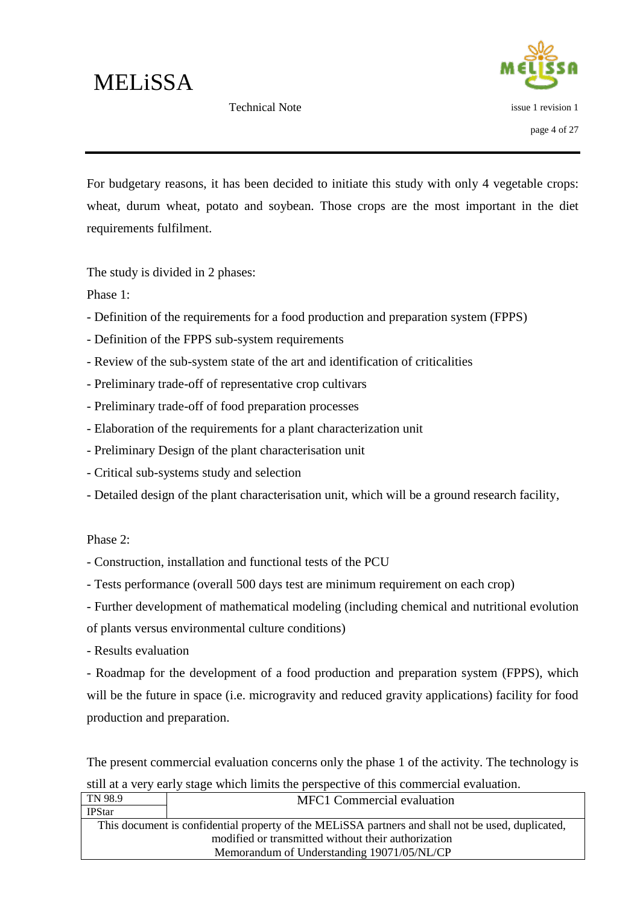Technical Note



For budgetary reasons, it has been decided to initiate this study with only 4 vegetable crops: wheat, durum wheat, potato and soybean. Those crops are the most important in the diet requirements fulfilment.

The study is divided in 2 phases:

Phase 1:

- Definition of the requirements for a food production and preparation system (FPPS)
- Definition of the FPPS sub-system requirements
- Review of the sub-system state of the art and identification of criticalities
- Preliminary trade-off of representative crop cultivars
- Preliminary trade-off of food preparation processes
- Elaboration of the requirements for a plant characterization unit
- Preliminary Design of the plant characterisation unit
- Critical sub-systems study and selection
- Detailed design of the plant characterisation unit, which will be a ground research facility,

#### Phase 2:

- Construction, installation and functional tests of the PCU

- Tests performance (overall 500 days test are minimum requirement on each crop)

- Further development of mathematical modeling (including chemical and nutritional evolution of plants versus environmental culture conditions)

- Results evaluation

- Roadmap for the development of a food production and preparation system (FPPS), which will be the future in space (i.e. microgravity and reduced gravity applications) facility for food production and preparation.

The present commercial evaluation concerns only the phase 1 of the activity. The technology is still at a very early stage which limits the perspective of this commercial evaluation.

| TN 98.9                                                                                           | MFC1 Commercial evaluation                 |  |
|---------------------------------------------------------------------------------------------------|--------------------------------------------|--|
| <b>IPStar</b>                                                                                     |                                            |  |
| This document is confidential property of the MELISSA partners and shall not be used, duplicated, |                                            |  |
| modified or transmitted without their authorization                                               |                                            |  |
|                                                                                                   | Memorandum of Understanding 19071/05/NL/CP |  |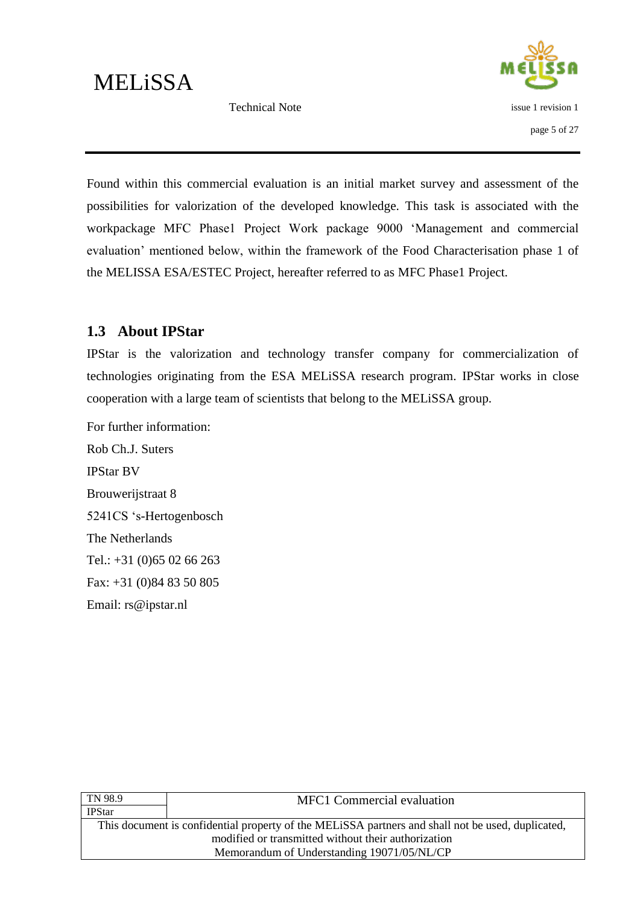Technical Note



Found within this commercial evaluation is an initial market survey and assessment of the possibilities for valorization of the developed knowledge. This task is associated with the workpackage MFC Phase1 Project Work package 9000 "Management and commercial evaluation" mentioned below, within the framework of the Food Characterisation phase 1 of the MELISSA ESA/ESTEC Project, hereafter referred to as MFC Phase1 Project.

### <span id="page-9-0"></span>**1.3 About IPStar**

IPStar is the valorization and technology transfer company for commercialization of technologies originating from the ESA MELiSSA research program. IPStar works in close cooperation with a large team of scientists that belong to the MELiSSA group.

For further information: Rob Ch.J. Suters IPStar BV Brouwerijstraat 8 5241CS "s-Hertogenbosch The Netherlands Tel.: +31 (0)65 02 66 263 Fax: +31 (0)84 83 50 805 Email: rs@ipstar.nl

| <b>MFC1</b> Commercial evaluation                                                                 |  |
|---------------------------------------------------------------------------------------------------|--|
|                                                                                                   |  |
| This document is confidential property of the MELISSA partners and shall not be used, duplicated, |  |
| modified or transmitted without their authorization                                               |  |
| Memorandum of Understanding 19071/05/NL/CP                                                        |  |
|                                                                                                   |  |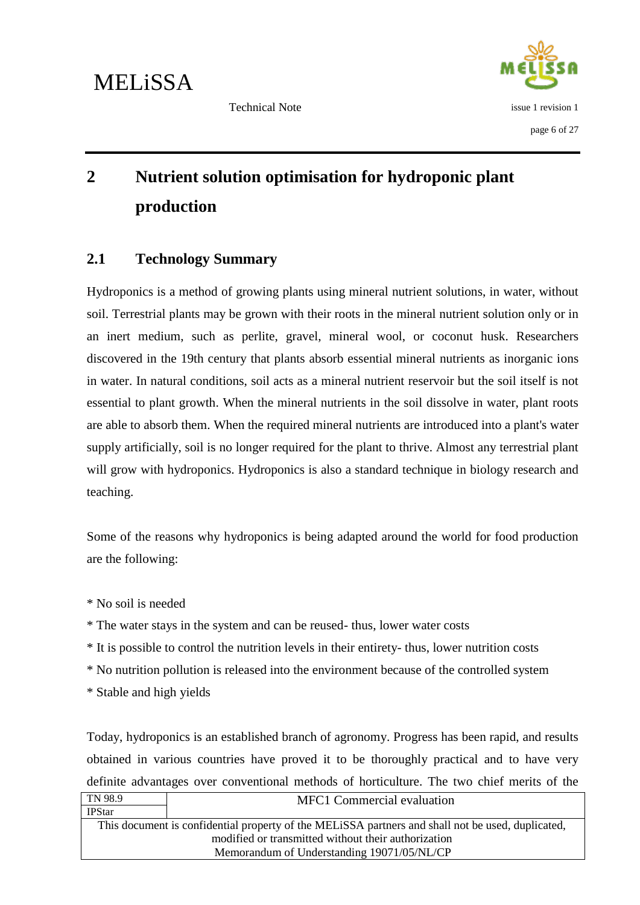

### <span id="page-10-0"></span>**2 Nutrient solution optimisation for hydroponic plant production**

### <span id="page-10-1"></span>**2.1 Technology Summary**

Hydroponics is a method of growing plants using mineral nutrient solutions, in water, without soil. Terrestrial plants may be grown with their roots in the mineral nutrient solution only or in an inert medium, such as perlite, gravel, mineral wool, or coconut husk. Researchers discovered in the 19th century that plants absorb essential mineral nutrients as inorganic ions in water. In natural conditions, soil acts as a mineral nutrient reservoir but the soil itself is not essential to plant growth. When the mineral nutrients in the soil dissolve in water, plant roots are able to absorb them. When the required mineral nutrients are introduced into a plant's water supply artificially, soil is no longer required for the plant to thrive. Almost any terrestrial plant will grow with hydroponics. Hydroponics is also a standard technique in biology research and teaching.

Some of the reasons why hydroponics is being adapted around the world for food production are the following:

\* No soil is needed

\* The water stays in the system and can be reused- thus, lower water costs

- \* It is possible to control the nutrition levels in their entirety- thus, lower nutrition costs
- \* No nutrition pollution is released into the environment because of the controlled system
- \* Stable and high yields

Today, hydroponics is an established branch of agronomy. Progress has been rapid, and results obtained in various countries have proved it to be thoroughly practical and to have very definite advantages over conventional methods of horticulture. The two chief merits of the

| TN 98.9                                             | <b>MFC1</b> Commercial evaluation                                                                 |
|-----------------------------------------------------|---------------------------------------------------------------------------------------------------|
| <b>IPStar</b>                                       |                                                                                                   |
|                                                     | This document is confidential property of the MELISSA partners and shall not be used, duplicated, |
| modified or transmitted without their authorization |                                                                                                   |
| Memorandum of Understanding 19071/05/NL/CP          |                                                                                                   |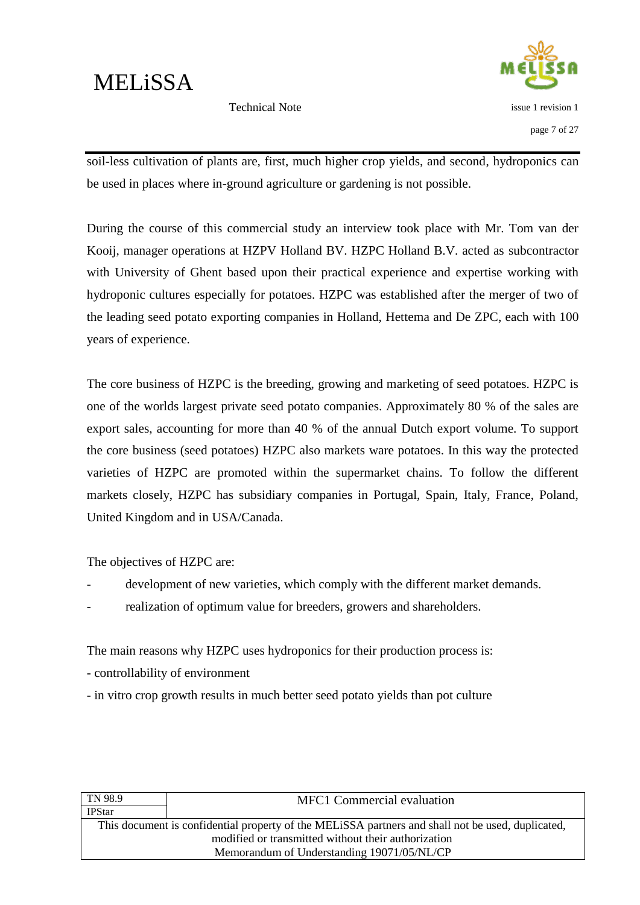

Technical Note

soil-less cultivation of plants are, first, much higher crop yields, and second, hydroponics can be used in places where in-ground agriculture or gardening is not possible.

During the course of this commercial study an interview took place with Mr. Tom van der Kooij, manager operations at HZPV Holland BV. HZPC Holland B.V. acted as subcontractor with University of Ghent based upon their practical experience and expertise working with hydroponic cultures especially for potatoes. HZPC was established after the merger of two of the leading seed potato exporting companies in Holland, Hettema and De ZPC, each with 100 years of experience.

The core business of HZPC is the breeding, growing and marketing of seed potatoes. HZPC is one of the worlds largest private seed potato companies. Approximately 80 % of the sales are export sales, accounting for more than 40 % of the annual Dutch export volume. To support the core business (seed potatoes) HZPC also markets ware potatoes. In this way the protected varieties of HZPC are promoted within the supermarket chains. To follow the different markets closely, HZPC has subsidiary companies in Portugal, Spain, Italy, France, Poland, United Kingdom and in USA/Canada.

The objectives of HZPC are:

- development of new varieties, which comply with the different market demands.
- realization of optimum value for breeders, growers and shareholders.

The main reasons why HZPC uses hydroponics for their production process is:

- controllability of environment
- in vitro crop growth results in much better seed potato yields than pot culture

| TN 98.9                                                                                           | <b>MFC1</b> Commercial evaluation |
|---------------------------------------------------------------------------------------------------|-----------------------------------|
| <b>IPStar</b>                                                                                     |                                   |
| This document is confidential property of the MELISSA partners and shall not be used, duplicated, |                                   |
| modified or transmitted without their authorization                                               |                                   |
| Memorandum of Understanding 19071/05/NL/CP                                                        |                                   |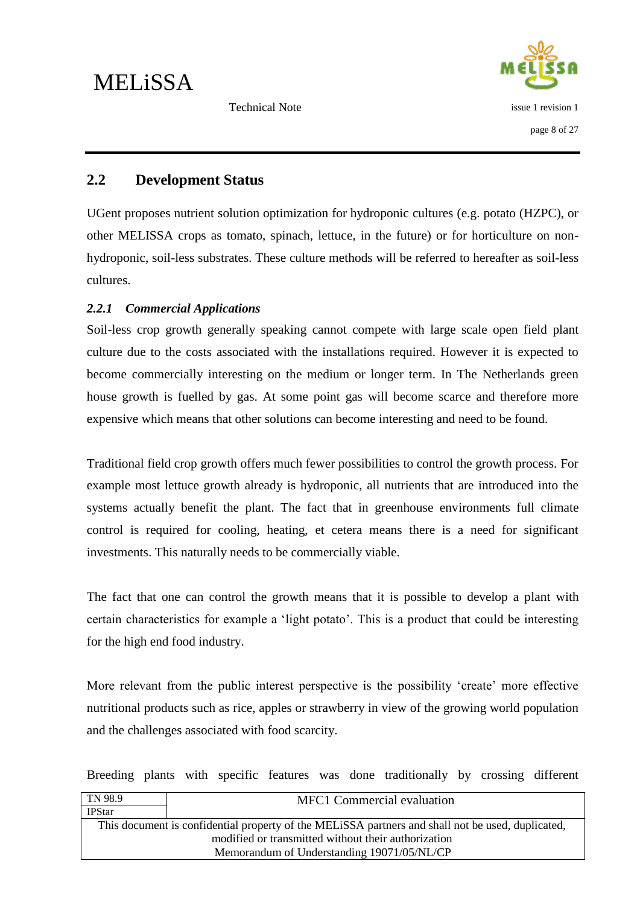issue 1 revision 1

page 8 of 27

Technical Note

### <span id="page-12-0"></span>**2.2 Development Status**

UGent proposes nutrient solution optimization for hydroponic cultures (e.g. potato (HZPC), or other MELISSA crops as tomato, spinach, lettuce, in the future) or for horticulture on nonhydroponic, soil-less substrates. These culture methods will be referred to hereafter as soil-less cultures.

#### <span id="page-12-1"></span>*2.2.1 Commercial Applications*

Soil-less crop growth generally speaking cannot compete with large scale open field plant culture due to the costs associated with the installations required. However it is expected to become commercially interesting on the medium or longer term. In The Netherlands green house growth is fuelled by gas. At some point gas will become scarce and therefore more expensive which means that other solutions can become interesting and need to be found.

Traditional field crop growth offers much fewer possibilities to control the growth process. For example most lettuce growth already is hydroponic, all nutrients that are introduced into the systems actually benefit the plant. The fact that in greenhouse environments full climate control is required for cooling, heating, et cetera means there is a need for significant investments. This naturally needs to be commercially viable.

The fact that one can control the growth means that it is possible to develop a plant with certain characteristics for example a "light potato". This is a product that could be interesting for the high end food industry.

More relevant from the public interest perspective is the possibility "create" more effective nutritional products such as rice, apples or strawberry in view of the growing world population and the challenges associated with food scarcity.

Breeding plants with specific features was done traditionally by crossing different

| TN 98.9                                                                                           | <b>MFC1</b> Commercial evaluation |
|---------------------------------------------------------------------------------------------------|-----------------------------------|
| <b>IPStar</b>                                                                                     |                                   |
| This document is confidential property of the MELISSA partners and shall not be used, duplicated, |                                   |
| modified or transmitted without their authorization                                               |                                   |
| Memorandum of Understanding 19071/05/NL/CP                                                        |                                   |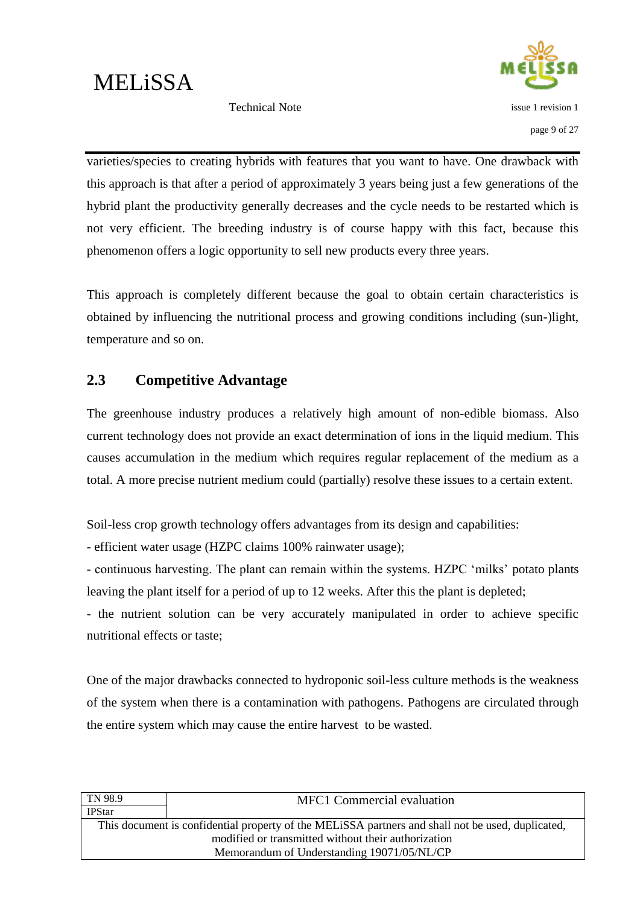

issue 1 revision 1

page 9 of 27

Technical Note

varieties/species to creating hybrids with features that you want to have. One drawback with this approach is that after a period of approximately 3 years being just a few generations of the hybrid plant the productivity generally decreases and the cycle needs to be restarted which is not very efficient. The breeding industry is of course happy with this fact, because this phenomenon offers a logic opportunity to sell new products every three years.

This approach is completely different because the goal to obtain certain characteristics is obtained by influencing the nutritional process and growing conditions including (sun-)light, temperature and so on.

### <span id="page-13-0"></span>**2.3 Competitive Advantage**

The greenhouse industry produces a relatively high amount of non-edible biomass. Also current technology does not provide an exact determination of ions in the liquid medium. This causes accumulation in the medium which requires regular replacement of the medium as a total. A more precise nutrient medium could (partially) resolve these issues to a certain extent.

Soil-less crop growth technology offers advantages from its design and capabilities:

- efficient water usage (HZPC claims 100% rainwater usage);

- continuous harvesting. The plant can remain within the systems. HZPC "milks" potato plants leaving the plant itself for a period of up to 12 weeks. After this the plant is depleted;

- the nutrient solution can be very accurately manipulated in order to achieve specific nutritional effects or taste;

One of the major drawbacks connected to hydroponic soil-less culture methods is the weakness of the system when there is a contamination with pathogens. Pathogens are circulated through the entire system which may cause the entire harvest to be wasted.

| TN 98.9                                                                                           | <b>MFC1</b> Commercial evaluation |
|---------------------------------------------------------------------------------------------------|-----------------------------------|
| <b>IPStar</b>                                                                                     |                                   |
| This document is confidential property of the MELISSA partners and shall not be used, duplicated, |                                   |
| modified or transmitted without their authorization                                               |                                   |
| Memorandum of Understanding 19071/05/NL/CP                                                        |                                   |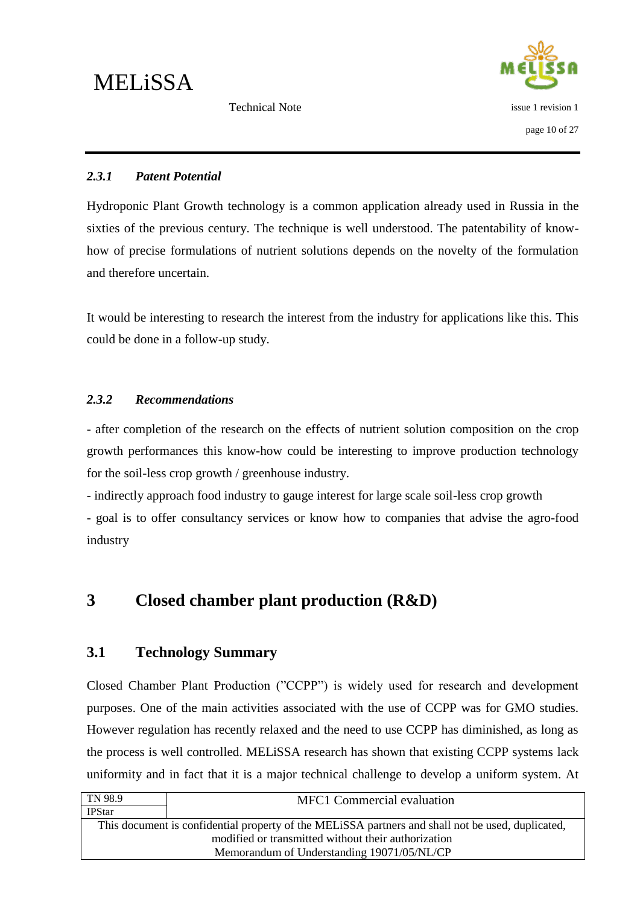

#### <span id="page-14-0"></span>*2.3.1 Patent Potential*

Hydroponic Plant Growth technology is a common application already used in Russia in the sixties of the previous century. The technique is well understood. The patentability of knowhow of precise formulations of nutrient solutions depends on the novelty of the formulation and therefore uncertain.

It would be interesting to research the interest from the industry for applications like this. This could be done in a follow-up study.

#### <span id="page-14-1"></span>*2.3.2 Recommendations*

- after completion of the research on the effects of nutrient solution composition on the crop growth performances this know-how could be interesting to improve production technology for the soil-less crop growth / greenhouse industry.

- indirectly approach food industry to gauge interest for large scale soil-less crop growth

- goal is to offer consultancy services or know how to companies that advise the agro-food industry

### <span id="page-14-2"></span>**3 Closed chamber plant production (R&D)**

### <span id="page-14-3"></span>**3.1 Technology Summary**

Closed Chamber Plant Production ("CCPP") is widely used for research and development purposes. One of the main activities associated with the use of CCPP was for GMO studies. However regulation has recently relaxed and the need to use CCPP has diminished, as long as the process is well controlled. MELiSSA research has shown that existing CCPP systems lack uniformity and in fact that it is a major technical challenge to develop a uniform system. At

| TN 98.9                                                                                           | <b>MFC1</b> Commercial evaluation |
|---------------------------------------------------------------------------------------------------|-----------------------------------|
| <b>IPStar</b>                                                                                     |                                   |
| This document is confidential property of the MELISSA partners and shall not be used, duplicated, |                                   |
| modified or transmitted without their authorization                                               |                                   |
| Memorandum of Understanding 19071/05/NL/CP                                                        |                                   |
|                                                                                                   |                                   |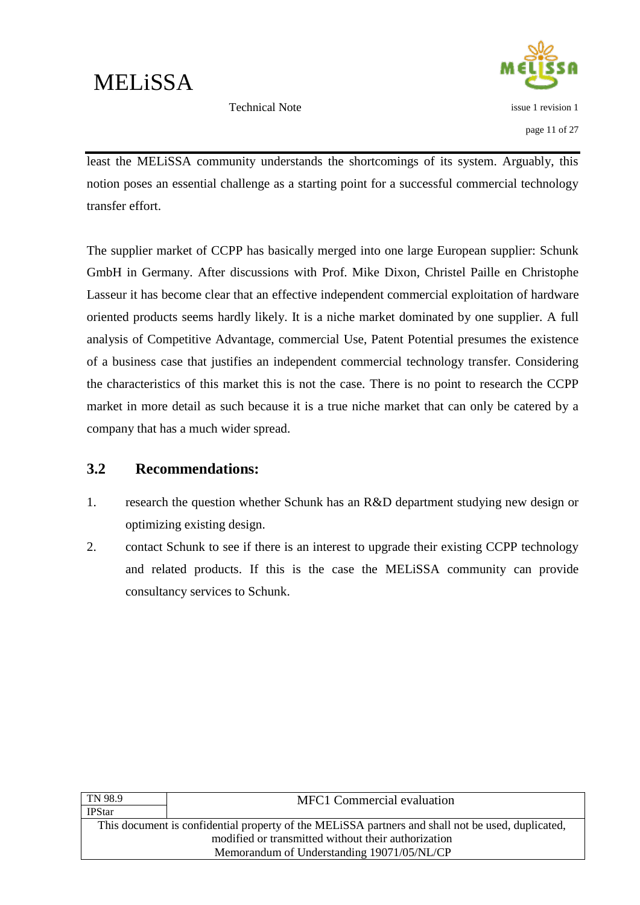

Technical Note

least the MELiSSA community understands the shortcomings of its system. Arguably, this notion poses an essential challenge as a starting point for a successful commercial technology transfer effort.

The supplier market of CCPP has basically merged into one large European supplier: Schunk GmbH in Germany. After discussions with Prof. Mike Dixon, Christel Paille en Christophe Lasseur it has become clear that an effective independent commercial exploitation of hardware oriented products seems hardly likely. It is a niche market dominated by one supplier. A full analysis of Competitive Advantage, commercial Use, Patent Potential presumes the existence of a business case that justifies an independent commercial technology transfer. Considering the characteristics of this market this is not the case. There is no point to research the CCPP market in more detail as such because it is a true niche market that can only be catered by a company that has a much wider spread.

#### <span id="page-15-0"></span>**3.2 Recommendations:**

- 1. research the question whether Schunk has an R&D department studying new design or optimizing existing design.
- 2. contact Schunk to see if there is an interest to upgrade their existing CCPP technology and related products. If this is the case the MELiSSA community can provide consultancy services to Schunk.

| MFC1 Commercial evaluation                                                                        |  |
|---------------------------------------------------------------------------------------------------|--|
|                                                                                                   |  |
| This document is confidential property of the MELISSA partners and shall not be used, duplicated, |  |
| modified or transmitted without their authorization                                               |  |
| Memorandum of Understanding 19071/05/NL/CP                                                        |  |
|                                                                                                   |  |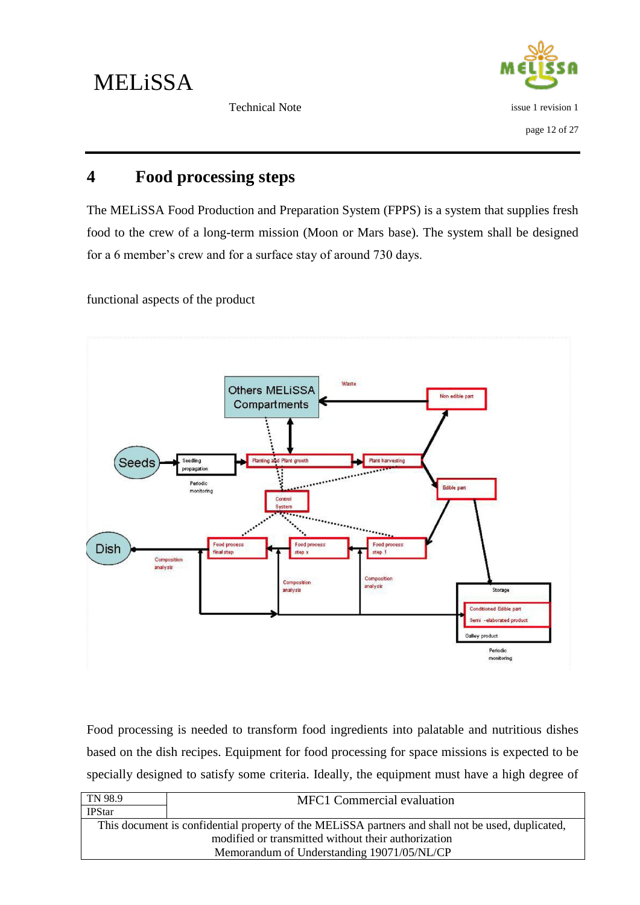issue 1 revision 1 page 12 of 27

Technical Note

### <span id="page-16-0"></span>**4 Food processing steps**

The MELiSSA Food Production and Preparation System (FPPS) is a system that supplies fresh food to the crew of a long-term mission (Moon or Mars base). The system shall be designed for a 6 member"s crew and for a surface stay of around 730 days.

functional aspects of the product



Food processing is needed to transform food ingredients into palatable and nutritious dishes based on the dish recipes. Equipment for food processing for space missions is expected to be specially designed to satisfy some criteria. Ideally, the equipment must have a high degree of

| TN 98.9                                                                                           | <b>MFC1</b> Commercial evaluation |
|---------------------------------------------------------------------------------------------------|-----------------------------------|
| <b>IPStar</b>                                                                                     |                                   |
| This document is confidential property of the MELISSA partners and shall not be used, duplicated, |                                   |
| modified or transmitted without their authorization                                               |                                   |
| Memorandum of Understanding 19071/05/NL/CP                                                        |                                   |
|                                                                                                   |                                   |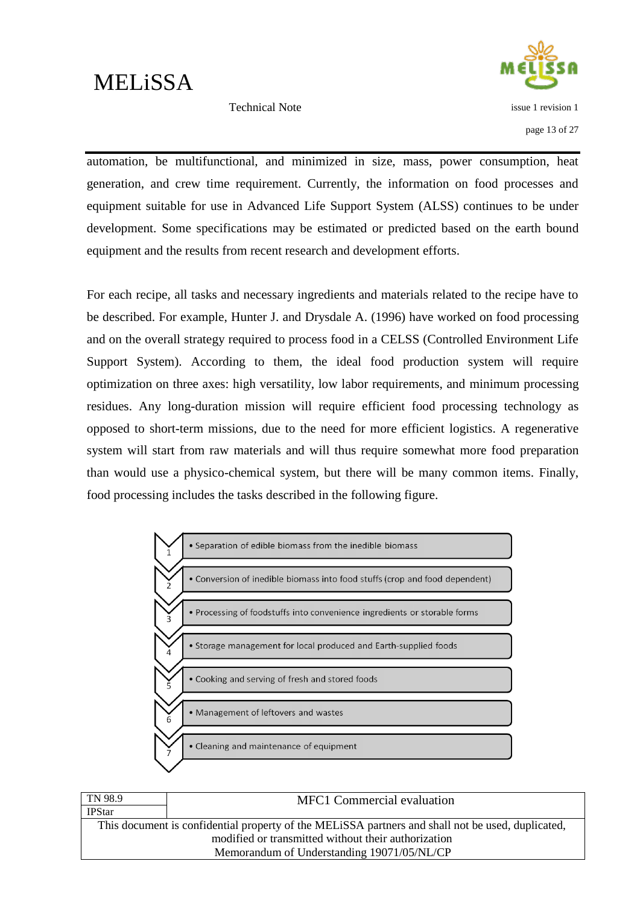

Technical Note

page 13 of 27

automation, be multifunctional, and minimized in size, mass, power consumption, heat generation, and crew time requirement. Currently, the information on food processes and equipment suitable for use in Advanced Life Support System (ALSS) continues to be under development. Some specifications may be estimated or predicted based on the earth bound equipment and the results from recent research and development efforts.

For each recipe, all tasks and necessary ingredients and materials related to the recipe have to be described. For example, Hunter J. and Drysdale A. (1996) have worked on food processing and on the overall strategy required to process food in a CELSS (Controlled Environment Life Support System). According to them, the ideal food production system will require optimization on three axes: high versatility, low labor requirements, and minimum processing residues. Any long-duration mission will require efficient food processing technology as opposed to short-term missions, due to the need for more efficient logistics. A regenerative system will start from raw materials and will thus require somewhat more food preparation than would use a physico-chemical system, but there will be many common items. Finally, food processing includes the tasks described in the following figure.



| TN 98.9                                             | <b>MFC1</b> Commercial evaluation                                                                 |
|-----------------------------------------------------|---------------------------------------------------------------------------------------------------|
| <b>IPStar</b>                                       |                                                                                                   |
|                                                     | This document is confidential property of the MELISSA partners and shall not be used, duplicated, |
| modified or transmitted without their authorization |                                                                                                   |
| Memorandum of Understanding 19071/05/NL/CP          |                                                                                                   |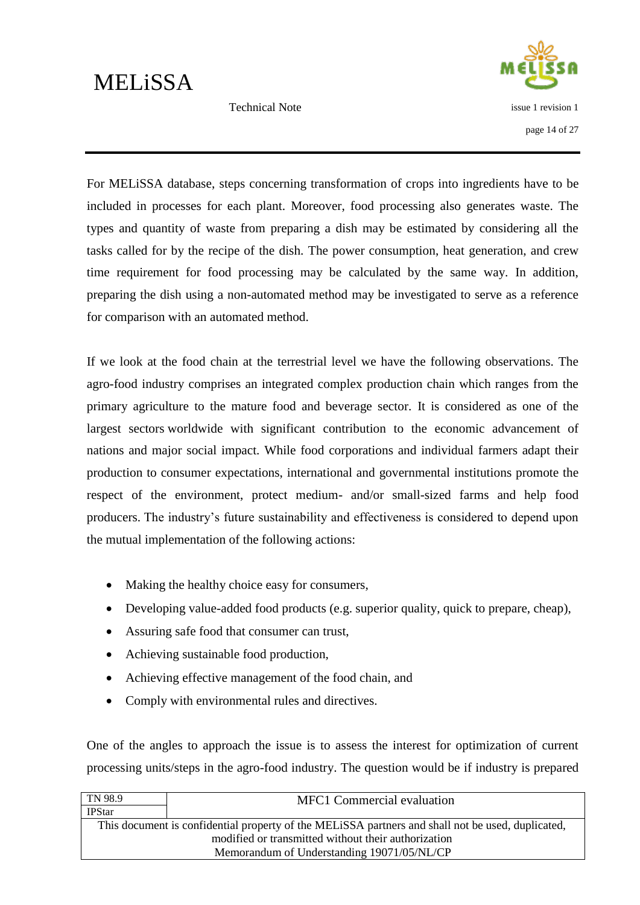Technical Note



For MELiSSA database, steps concerning transformation of crops into ingredients have to be included in processes for each plant. Moreover, food processing also generates waste. The types and quantity of waste from preparing a dish may be estimated by considering all the tasks called for by the recipe of the dish. The power consumption, heat generation, and crew time requirement for food processing may be calculated by the same way. In addition, preparing the dish using a non-automated method may be investigated to serve as a reference for comparison with an automated method.

If we look at the food chain at the terrestrial level we have the following observations. The agro-food industry comprises an integrated complex production chain which ranges from the primary agriculture to the mature food and beverage sector. It is considered as one of the largest sectors worldwide with significant contribution to the economic advancement of nations and major social impact. While food corporations and individual farmers adapt their production to consumer expectations, international and governmental institutions promote the respect of the environment, protect medium- and/or small-sized farms and help food producers. The industry"s future sustainability and effectiveness is considered to depend upon the mutual implementation of the following actions:

- Making the healthy choice easy for consumers,
- Developing value-added food products (e.g. superior quality, quick to prepare, cheap),
- Assuring safe food that consumer can trust,
- Achieving sustainable food production,
- Achieving effective management of the food chain, and
- Comply with environmental rules and directives.

One of the angles to approach the issue is to assess the interest for optimization of current processing units/steps in the agro-food industry. The question would be if industry is prepared

| TN 98.9                                                                                           | <b>MFC1</b> Commercial evaluation |
|---------------------------------------------------------------------------------------------------|-----------------------------------|
| <b>IPStar</b>                                                                                     |                                   |
| This document is confidential property of the MELISSA partners and shall not be used, duplicated, |                                   |
| modified or transmitted without their authorization                                               |                                   |
| Memorandum of Understanding 19071/05/NL/CP                                                        |                                   |
|                                                                                                   |                                   |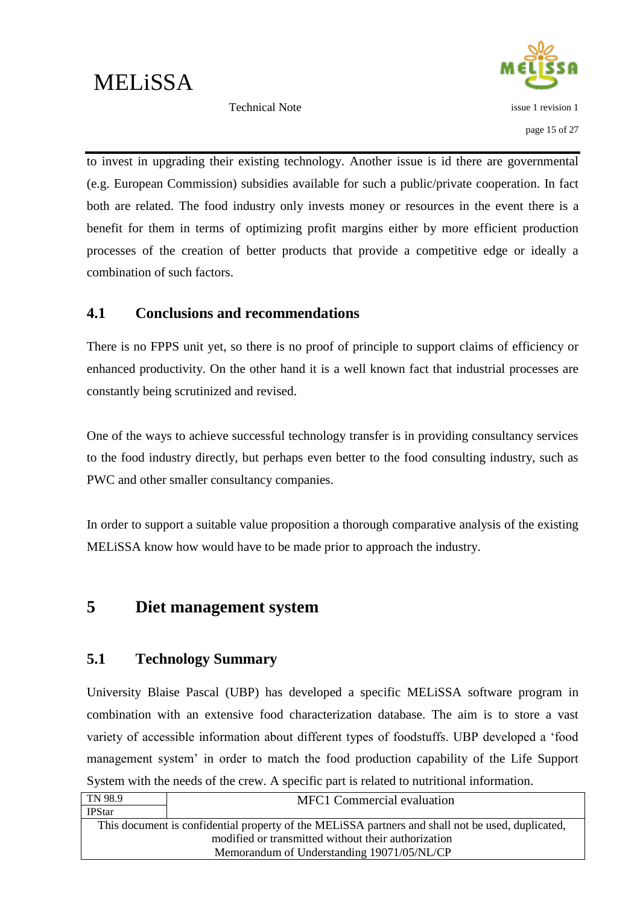



to invest in upgrading their existing technology. Another issue is id there are governmental (e.g. European Commission) subsidies available for such a public/private cooperation. In fact both are related. The food industry only invests money or resources in the event there is a benefit for them in terms of optimizing profit margins either by more efficient production processes of the creation of better products that provide a competitive edge or ideally a combination of such factors.

#### <span id="page-19-0"></span>**4.1 Conclusions and recommendations**

There is no FPPS unit yet, so there is no proof of principle to support claims of efficiency or enhanced productivity. On the other hand it is a well known fact that industrial processes are constantly being scrutinized and revised.

One of the ways to achieve successful technology transfer is in providing consultancy services to the food industry directly, but perhaps even better to the food consulting industry, such as PWC and other smaller consultancy companies.

In order to support a suitable value proposition a thorough comparative analysis of the existing MELiSSA know how would have to be made prior to approach the industry.

### <span id="page-19-1"></span>**5 Diet management system**

#### <span id="page-19-2"></span>**5.1 Technology Summary**

University Blaise Pascal (UBP) has developed a specific MELiSSA software program in combination with an extensive food characterization database. The aim is to store a vast variety of accessible information about different types of foodstuffs. UBP developed a "food management system" in order to match the food production capability of the Life Support System with the needs of the crew. A specific part is related to nutritional information.

| TN 98.9                                                                                           | MFC1 Commercial evaluation |
|---------------------------------------------------------------------------------------------------|----------------------------|
| <b>IPStar</b>                                                                                     |                            |
| This document is confidential property of the MELISSA partners and shall not be used, duplicated, |                            |
| modified or transmitted without their authorization                                               |                            |
| Memorandum of Understanding 19071/05/NL/CP                                                        |                            |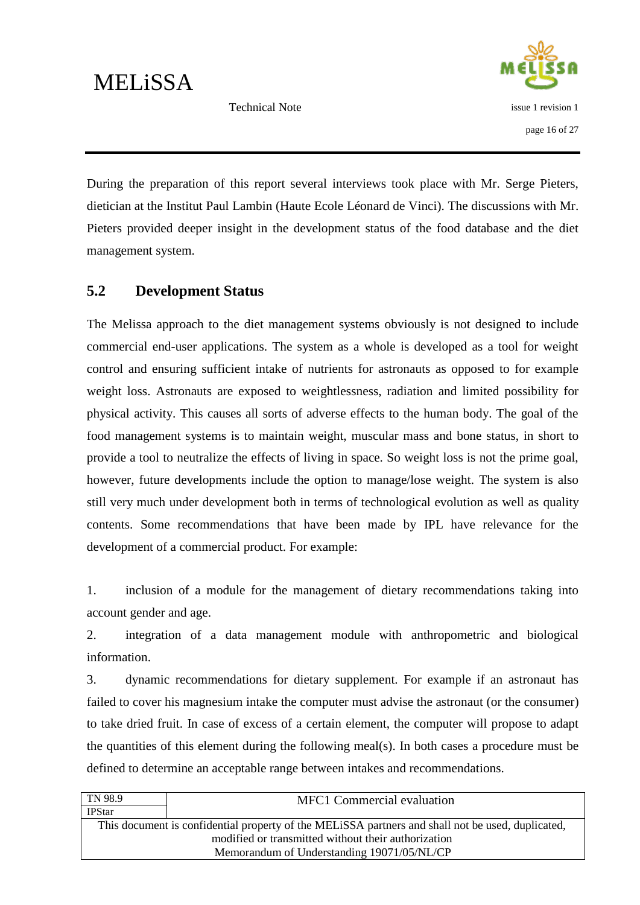Technical Note



During the preparation of this report several interviews took place with Mr. Serge Pieters, dietician at the Institut Paul Lambin (Haute Ecole Léonard de Vinci). The discussions with Mr. Pieters provided deeper insight in the development status of the food database and the diet management system.

### <span id="page-20-0"></span>**5.2 Development Status**

The Melissa approach to the diet management systems obviously is not designed to include commercial end-user applications. The system as a whole is developed as a tool for weight control and ensuring sufficient intake of nutrients for astronauts as opposed to for example weight loss. Astronauts are exposed to weightlessness, radiation and limited possibility for physical activity. This causes all sorts of adverse effects to the human body. The goal of the food management systems is to maintain weight, muscular mass and bone status, in short to provide a tool to neutralize the effects of living in space. So weight loss is not the prime goal, however, future developments include the option to manage/lose weight. The system is also still very much under development both in terms of technological evolution as well as quality contents. Some recommendations that have been made by IPL have relevance for the development of a commercial product. For example:

1. inclusion of a module for the management of dietary recommendations taking into account gender and age.

2. integration of a data management module with anthropometric and biological information.

3. dynamic recommendations for dietary supplement. For example if an astronaut has failed to cover his magnesium intake the computer must advise the astronaut (or the consumer) to take dried fruit. In case of excess of a certain element, the computer will propose to adapt the quantities of this element during the following meal(s). In both cases a procedure must be defined to determine an acceptable range between intakes and recommendations.

| TN 98.9                                                                                           | <b>MFC1</b> Commercial evaluation |
|---------------------------------------------------------------------------------------------------|-----------------------------------|
| <b>IPStar</b>                                                                                     |                                   |
| This document is confidential property of the MELISSA partners and shall not be used, duplicated, |                                   |
| modified or transmitted without their authorization                                               |                                   |
| Memorandum of Understanding 19071/05/NL/CP                                                        |                                   |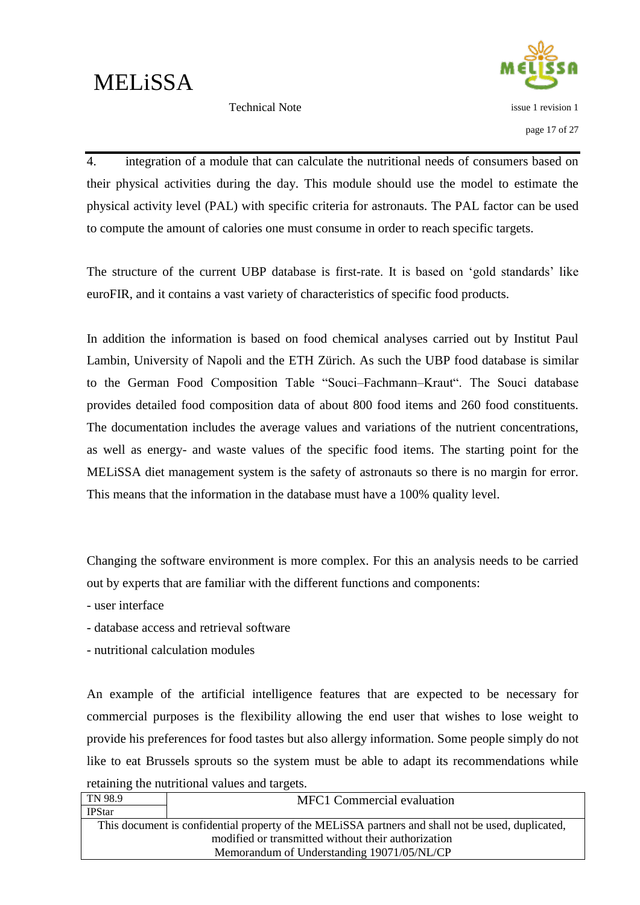Technical Note



4. integration of a module that can calculate the nutritional needs of consumers based on their physical activities during the day. This module should use the model to estimate the physical activity level (PAL) with specific criteria for astronauts. The PAL factor can be used to compute the amount of calories one must consume in order to reach specific targets.

The structure of the current UBP database is first-rate. It is based on 'gold standards' like euroFIR, and it contains a vast variety of characteristics of specific food products.

In addition the information is based on food chemical analyses carried out by Institut Paul Lambin, University of Napoli and the ETH Zürich. As such the UBP food database is similar to the German Food Composition Table "Souci–Fachmann–Kraut". The Souci database provides detailed food composition data of about 800 food items and 260 food constituents. The documentation includes the average values and variations of the nutrient concentrations, as well as energy- and waste values of the specific food items. The starting point for the MELiSSA diet management system is the safety of astronauts so there is no margin for error. This means that the information in the database must have a 100% quality level.

Changing the software environment is more complex. For this an analysis needs to be carried out by experts that are familiar with the different functions and components:

- user interface

- database access and retrieval software
- nutritional calculation modules

An example of the artificial intelligence features that are expected to be necessary for commercial purposes is the flexibility allowing the end user that wishes to lose weight to provide his preferences for food tastes but also allergy information. Some people simply do not like to eat Brussels sprouts so the system must be able to adapt its recommendations while retaining the nutritional values and targets.

| TN 98.9       | <b>MFC1</b> Commercial evaluation                                                                 |
|---------------|---------------------------------------------------------------------------------------------------|
| <b>IPStar</b> |                                                                                                   |
|               | This document is confidential property of the MELISSA partners and shall not be used, duplicated, |
|               | modified or transmitted without their authorization                                               |
|               | Memorandum of Understanding 19071/05/NL/CP                                                        |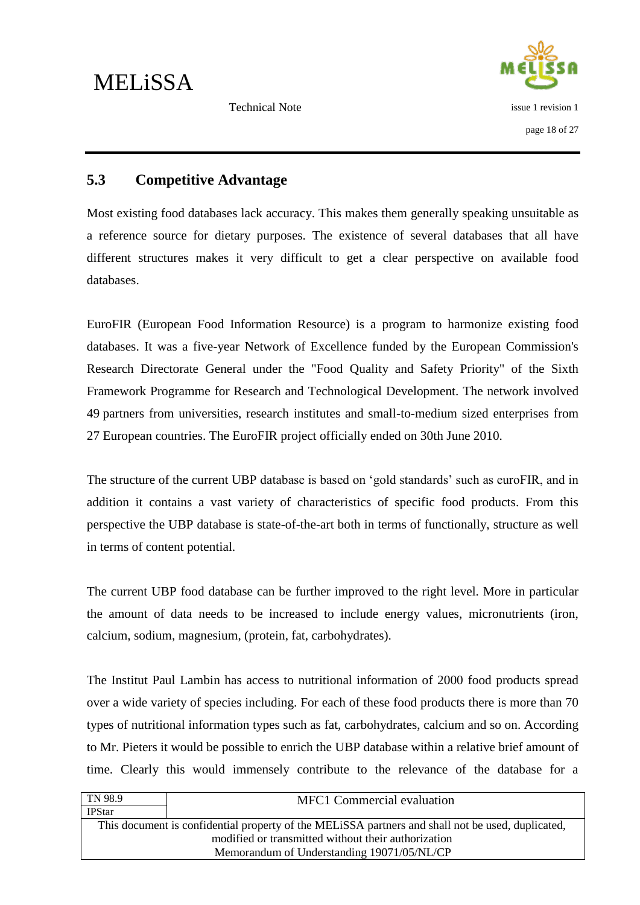

### <span id="page-22-0"></span>**5.3 Competitive Advantage**

Most existing food databases lack accuracy. This makes them generally speaking unsuitable as a reference source for dietary purposes. The existence of several databases that all have different structures makes it very difficult to get a clear perspective on available food databases.

EuroFIR (European Food Information Resource) is a program to harmonize existing food databases. It was a five-year Network of Excellence funded by the European Commission's Research Directorate General under the "Food Quality and Safety Priority" of the Sixth Framework Programme for Research and Technological Development. The network involved 49 partners from universities, research institutes and small-to-medium sized enterprises from 27 European countries. The EuroFIR project officially ended on 30th June 2010.

The structure of the current UBP database is based on "gold standards" such as euroFIR, and in addition it contains a vast variety of characteristics of specific food products. From this perspective the UBP database is state-of-the-art both in terms of functionally, structure as well in terms of content potential.

The current UBP food database can be further improved to the right level. More in particular the amount of data needs to be increased to include energy values, micronutrients (iron, calcium, sodium, magnesium, (protein, fat, carbohydrates).

The Institut Paul Lambin has access to nutritional information of 2000 food products spread over a wide variety of species including. For each of these food products there is more than 70 types of nutritional information types such as fat, carbohydrates, calcium and so on. According to Mr. Pieters it would be possible to enrich the UBP database within a relative brief amount of time. Clearly this would immensely contribute to the relevance of the database for a

| <b>MFC1</b> Commercial evaluation                                                                 |
|---------------------------------------------------------------------------------------------------|
|                                                                                                   |
| This document is confidential property of the MELISSA partners and shall not be used, duplicated, |
| modified or transmitted without their authorization                                               |
| Memorandum of Understanding 19071/05/NL/CP                                                        |
|                                                                                                   |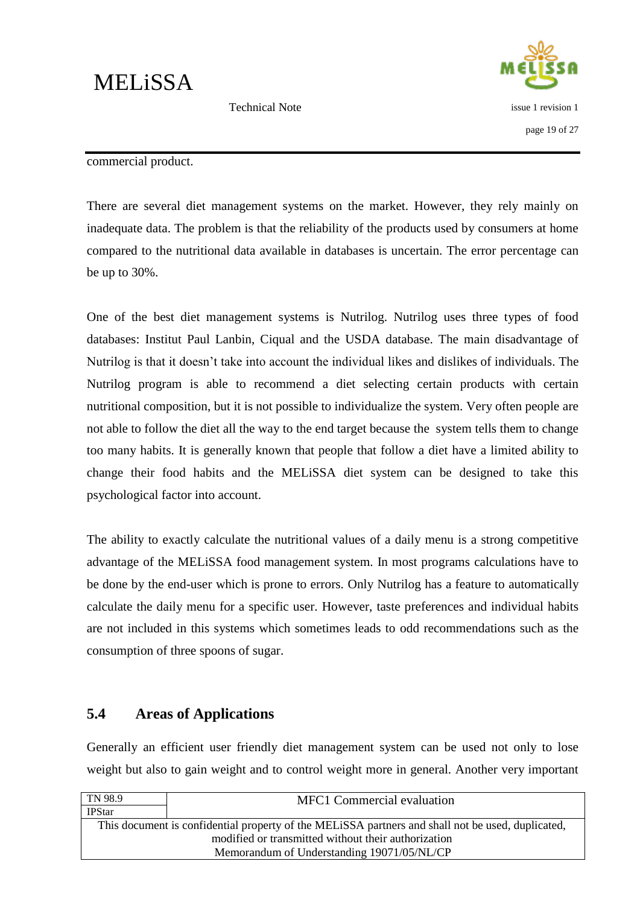issue 1 revision 1

page 19 of 27

Technical Note

#### commercial product.

There are several diet management systems on the market. However, they rely mainly on inadequate data. The problem is that the reliability of the products used by consumers at home compared to the nutritional data available in databases is uncertain. The error percentage can be up to 30%.

One of the best diet management systems is Nutrilog. Nutrilog uses three types of food databases: Institut Paul Lanbin, Ciqual and the USDA database. The main disadvantage of Nutrilog is that it doesn"t take into account the individual likes and dislikes of individuals. The Nutrilog program is able to recommend a diet selecting certain products with certain nutritional composition, but it is not possible to individualize the system. Very often people are not able to follow the diet all the way to the end target because the system tells them to change too many habits. It is generally known that people that follow a diet have a limited ability to change their food habits and the MELiSSA diet system can be designed to take this psychological factor into account.

The ability to exactly calculate the nutritional values of a daily menu is a strong competitive advantage of the MELiSSA food management system. In most programs calculations have to be done by the end-user which is prone to errors. Only Nutrilog has a feature to automatically calculate the daily menu for a specific user. However, taste preferences and individual habits are not included in this systems which sometimes leads to odd recommendations such as the consumption of three spoons of sugar.

#### <span id="page-23-0"></span>**5.4 Areas of Applications**

Generally an efficient user friendly diet management system can be used not only to lose weight but also to gain weight and to control weight more in general. Another very important

| TN 98.9       | <b>MFC1</b> Commercial evaluation                                                                 |
|---------------|---------------------------------------------------------------------------------------------------|
| <b>IPStar</b> |                                                                                                   |
|               | This document is confidential property of the MELISSA partners and shall not be used, duplicated, |
|               | modified or transmitted without their authorization                                               |
|               | Memorandum of Understanding 19071/05/NL/CP                                                        |
|               |                                                                                                   |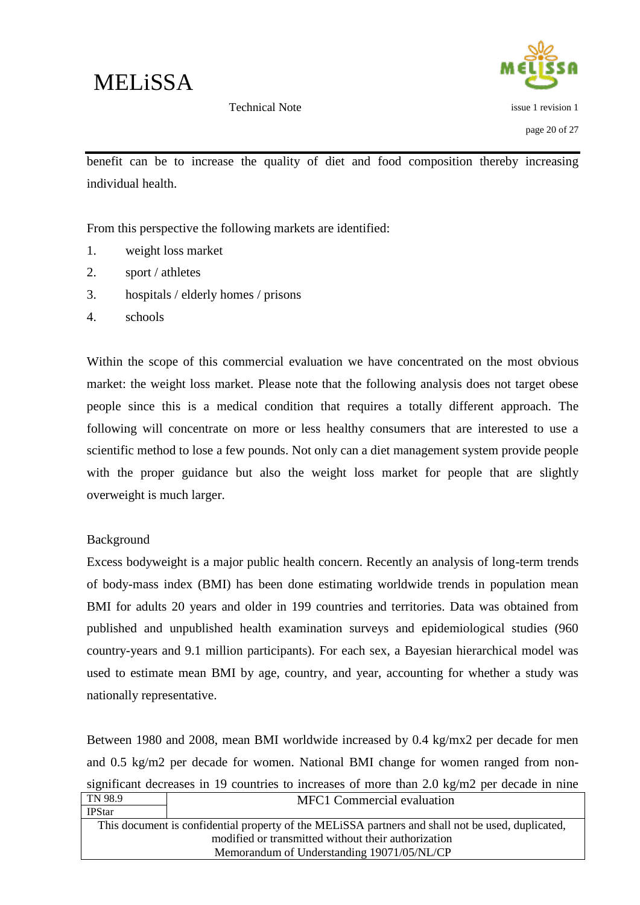

Technical Note

issue 1 revision 1 page 20 of 27

benefit can be to increase the quality of diet and food composition thereby increasing individual health.

From this perspective the following markets are identified:

- 1. weight loss market
- 2. sport / athletes
- 3. hospitals / elderly homes / prisons
- 4. schools

Within the scope of this commercial evaluation we have concentrated on the most obvious market: the weight loss market. Please note that the following analysis does not target obese people since this is a medical condition that requires a totally different approach. The following will concentrate on more or less healthy consumers that are interested to use a scientific method to lose a few pounds. Not only can a diet management system provide people with the proper guidance but also the weight loss market for people that are slightly overweight is much larger.

#### Background

Excess bodyweight is a major public health concern. Recently an analysis of long-term trends of body-mass index (BMI) has been done estimating worldwide trends in population mean BMI for adults 20 years and older in 199 countries and territories. Data was obtained from published and unpublished health examination surveys and epidemiological studies (960 country-years and 9.1 million participants). For each sex, a Bayesian hierarchical model was used to estimate mean BMI by age, country, and year, accounting for whether a study was nationally representative.

TN 98.9 MFC1 Commercial evaluation Between 1980 and 2008, mean BMI worldwide increased by 0.4 kg/mx2 per decade for men and 0.5 kg/m2 per decade for women. National BMI change for women ranged from nonsignificant decreases in 19 countries to increases of more than 2.0 kg/m2 per decade in nine

| <b>IPStar</b> |                                                                                                   |
|---------------|---------------------------------------------------------------------------------------------------|
|               | This document is confidential property of the MELISSA partners and shall not be used, duplicated, |
|               | modified or transmitted without their authorization                                               |
|               | Memorandum of Understanding 19071/05/NL/CP                                                        |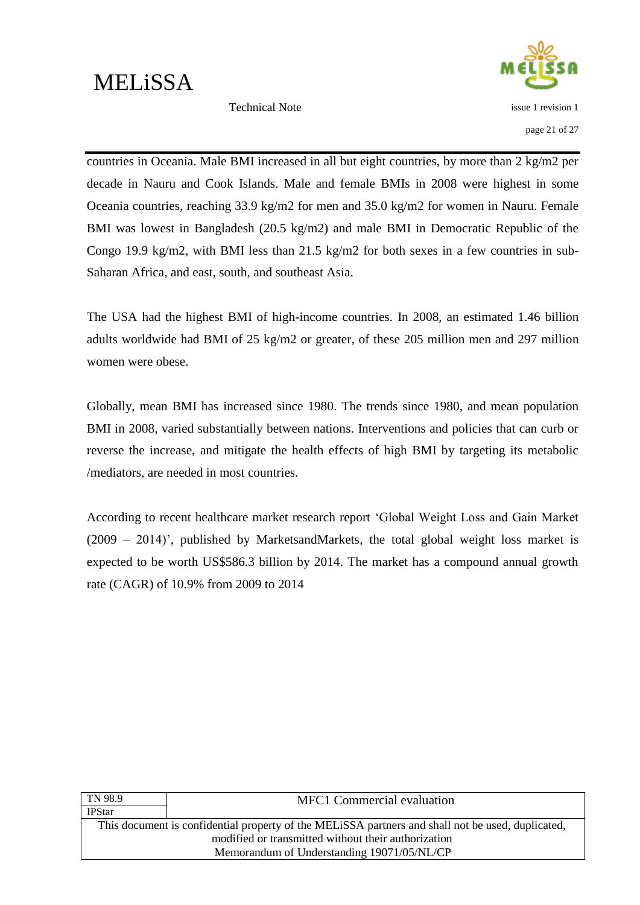issue 1 revision 1

Technical Note

page 21 of 27

countries in Oceania. Male BMI increased in all but eight countries, by more than 2 kg/m2 per decade in Nauru and Cook Islands. Male and female BMIs in 2008 were highest in some Oceania countries, reaching 33.9 kg/m2 for men and 35.0 kg/m2 for women in Nauru. Female BMI was lowest in Bangladesh (20.5 kg/m2) and male BMI in Democratic Republic of the Congo 19.9 kg/m2, with BMI less than 21.5 kg/m2 for both sexes in a few countries in sub-Saharan Africa, and east, south, and southeast Asia.

The USA had the highest BMI of high-income countries. In 2008, an estimated 1.46 billion adults worldwide had BMI of 25 kg/m2 or greater, of these 205 million men and 297 million women were obese.

Globally, mean BMI has increased since 1980. The trends since 1980, and mean population BMI in 2008, varied substantially between nations. Interventions and policies that can curb or reverse the increase, and mitigate the health effects of high BMI by targeting its metabolic /mediators, are needed in most countries.

According to recent healthcare market research report "Global Weight Loss and Gain Market  $(2009 - 2014)$ , published by MarketsandMarkets, the total global weight loss market is expected to be worth US\$586.3 billion by 2014. The market has a compound annual growth rate (CAGR) of 10.9% from 2009 to 2014

| TN 98.9       | <b>MFC1</b> Commercial evaluation                                                                 |
|---------------|---------------------------------------------------------------------------------------------------|
| <b>IPStar</b> |                                                                                                   |
|               | This document is confidential property of the MELISSA partners and shall not be used, duplicated, |
|               | modified or transmitted without their authorization                                               |
|               | Memorandum of Understanding 19071/05/NL/CP                                                        |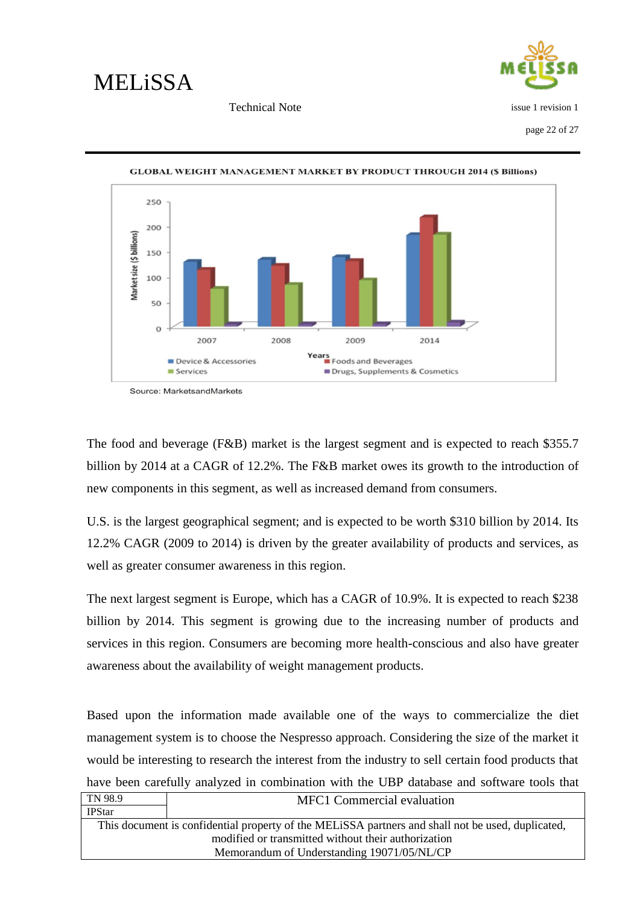



page 22 of 27



**GLOBAL WEIGHT MANAGEMENT MARKET BY PRODUCT THROUGH 2014 (\$ Billions)** 

The food and beverage (F&B) market is the largest segment and is expected to reach \$355.7 billion by 2014 at a CAGR of 12.2%. The F&B market owes its growth to the introduction of new components in this segment, as well as increased demand from consumers.

U.S. is the largest geographical segment; and is expected to be worth \$310 billion by 2014. Its 12.2% CAGR (2009 to 2014) is driven by the greater availability of products and services, as well as greater consumer awareness in this region.

The next largest segment is Europe, which has a CAGR of 10.9%. It is expected to reach \$238 billion by 2014. This segment is growing due to the increasing number of products and services in this region. Consumers are becoming more health-conscious and also have greater awareness about the availability of weight management products.

Based upon the information made available one of the ways to commercialize the diet management system is to choose the Nespresso approach. Considering the size of the market it would be interesting to research the interest from the industry to sell certain food products that have been carefully analyzed in combination with the UBP database and software tools that

| TN 98.9       | <b>MFC1</b> Commercial evaluation                                                                 |
|---------------|---------------------------------------------------------------------------------------------------|
| <b>IPStar</b> |                                                                                                   |
|               | This document is confidential property of the MELISSA partners and shall not be used, duplicated, |
|               | modified or transmitted without their authorization                                               |
|               | Memorandum of Understanding 19071/05/NL/CP                                                        |

Source: MarketsandMarkets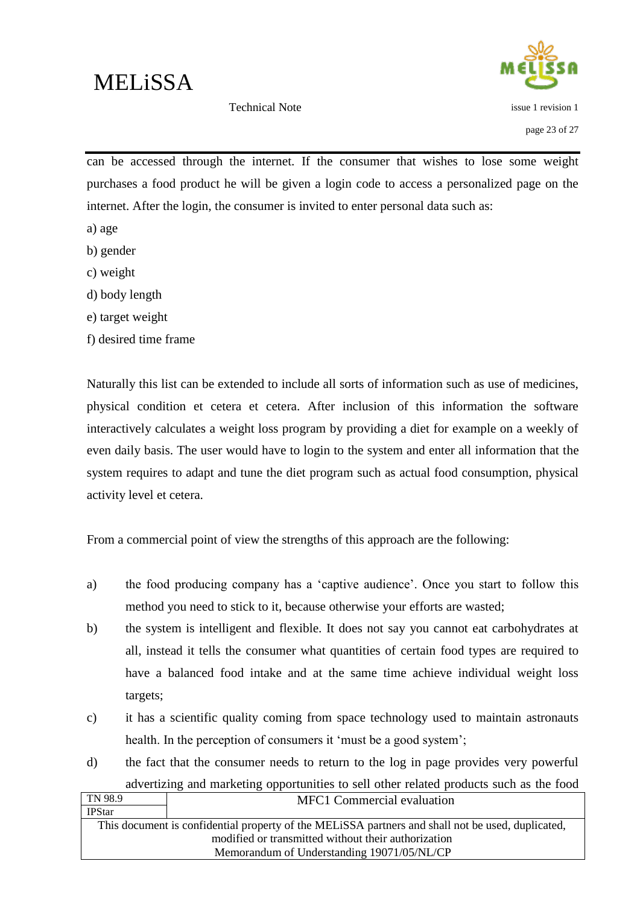issue 1 revision 1

Technical Note

can be accessed through the internet. If the consumer that wishes to lose some weight purchases a food product he will be given a login code to access a personalized page on the internet. After the login, the consumer is invited to enter personal data such as:

- a) age
- b) gender
- c) weight
- d) body length
- e) target weight
- f) desired time frame

Naturally this list can be extended to include all sorts of information such as use of medicines, physical condition et cetera et cetera. After inclusion of this information the software interactively calculates a weight loss program by providing a diet for example on a weekly of even daily basis. The user would have to login to the system and enter all information that the system requires to adapt and tune the diet program such as actual food consumption, physical activity level et cetera.

From a commercial point of view the strengths of this approach are the following:

- a) the food producing company has a "captive audience". Once you start to follow this method you need to stick to it, because otherwise your efforts are wasted;
- b) the system is intelligent and flexible. It does not say you cannot eat carbohydrates at all, instead it tells the consumer what quantities of certain food types are required to have a balanced food intake and at the same time achieve individual weight loss targets;
- c) it has a scientific quality coming from space technology used to maintain astronauts health. In the perception of consumers it 'must be a good system';
- d) the fact that the consumer needs to return to the log in page provides very powerful advertizing and marketing opportunities to sell other related products such as the food

| TN 98.9       | MFC1 Commercial evaluation                                                                        |
|---------------|---------------------------------------------------------------------------------------------------|
| <b>IPStar</b> |                                                                                                   |
|               | This document is confidential property of the MELISSA partners and shall not be used, duplicated, |
|               | modified or transmitted without their authorization                                               |
|               | Memorandum of Understanding 19071/05/NL/CP                                                        |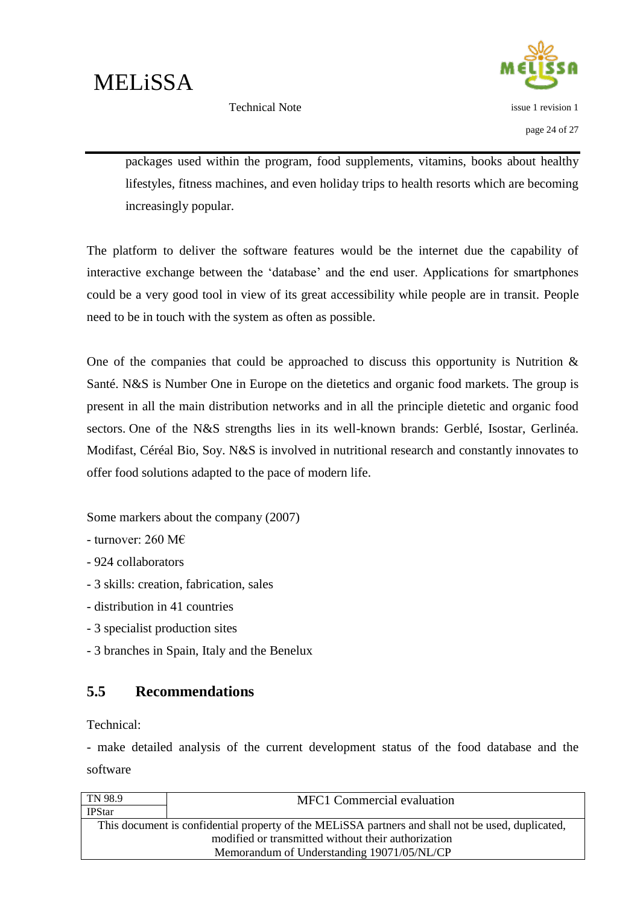

Technical Note

packages used within the program, food supplements, vitamins, books about healthy lifestyles, fitness machines, and even holiday trips to health resorts which are becoming increasingly popular.

The platform to deliver the software features would be the internet due the capability of interactive exchange between the "database" and the end user. Applications for smartphones could be a very good tool in view of its great accessibility while people are in transit. People need to be in touch with the system as often as possible.

One of the companies that could be approached to discuss this opportunity is Nutrition  $\&$ Santé. N&S is Number One in Europe on the dietetics and organic food markets. The group is present in all the main distribution networks and in all the principle dietetic and organic food sectors. One of the N&S strengths lies in its well-known brands: Gerblé, Isostar, Gerlinéa. Modifast, Céréal Bio, Soy. N&S is involved in nutritional research and constantly innovates to offer food solutions adapted to the pace of modern life.

Some markers about the company (2007)

- turnover: 260 M $\epsilon$ 

- 924 collaborators

- 3 skills: creation, fabrication, sales

- distribution in 41 countries

- 3 specialist production sites

- 3 branches in Spain, Italy and the Benelux

### <span id="page-28-0"></span>**5.5 Recommendations**

Technical:

- make detailed analysis of the current development status of the food database and the software

| $\vert$ TN 98.9                            | <b>MFC1</b> Commercial evaluation                                                                 |
|--------------------------------------------|---------------------------------------------------------------------------------------------------|
| <b>IPStar</b>                              |                                                                                                   |
|                                            | This document is confidential property of the MELISSA partners and shall not be used, duplicated, |
|                                            | modified or transmitted without their authorization                                               |
| Memorandum of Understanding 19071/05/NL/CP |                                                                                                   |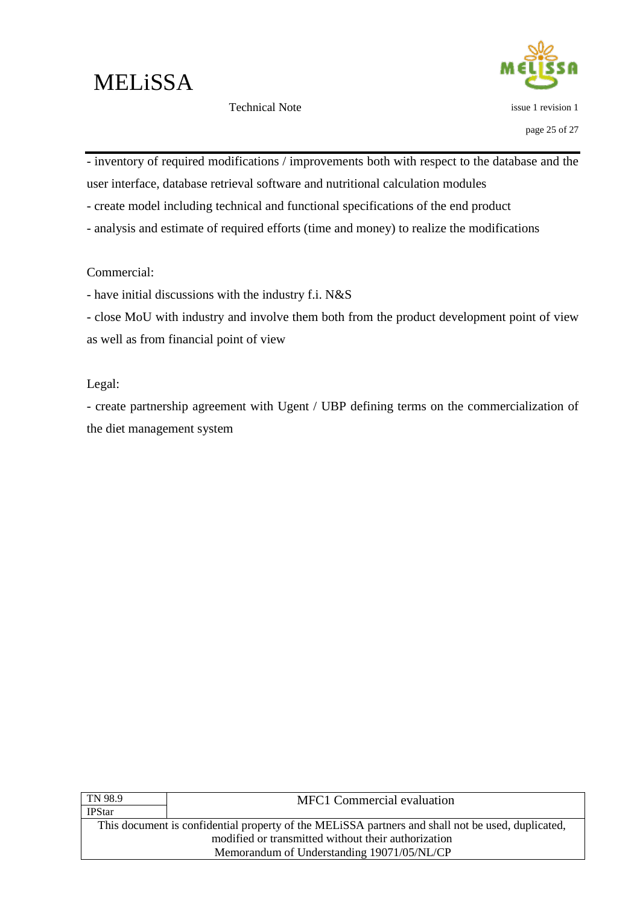issue 1 revision 1

- inventory of required modifications / improvements both with respect to the database and the user interface, database retrieval software and nutritional calculation modules

- create model including technical and functional specifications of the end product
- analysis and estimate of required efforts (time and money) to realize the modifications

#### Commercial:

- have initial discussions with the industry f.i. N&S
- close MoU with industry and involve them both from the product development point of view as well as from financial point of view

Legal:

- create partnership agreement with Ugent / UBP defining terms on the commercialization of the diet management system

| <b>MFC1</b> Commercial evaluation                                                                 |  |
|---------------------------------------------------------------------------------------------------|--|
|                                                                                                   |  |
| This document is confidential property of the MELISSA partners and shall not be used, duplicated, |  |
| modified or transmitted without their authorization                                               |  |
| Memorandum of Understanding 19071/05/NL/CP                                                        |  |
|                                                                                                   |  |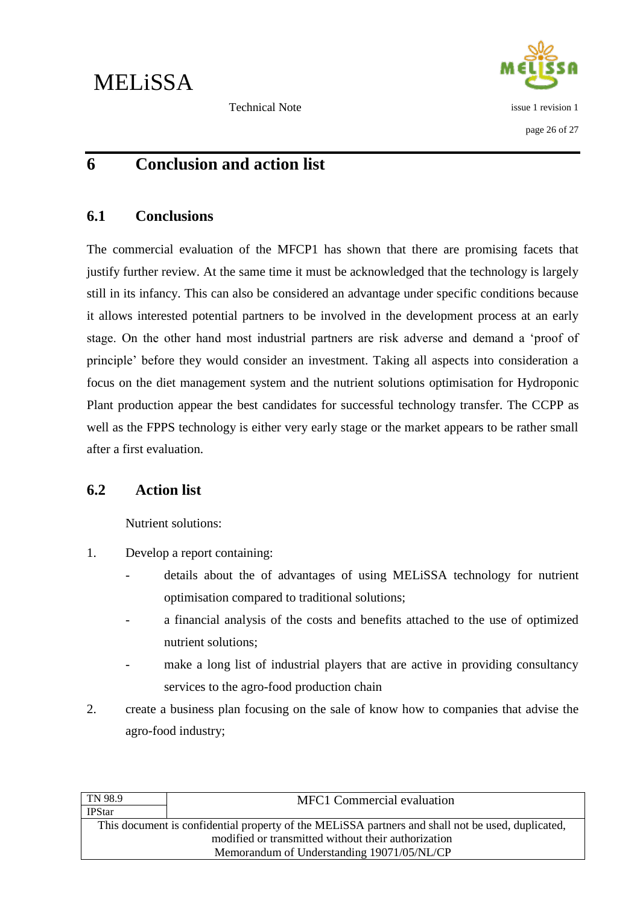

### <span id="page-30-0"></span>**6 Conclusion and action list**

#### <span id="page-30-1"></span>**6.1 Conclusions**

The commercial evaluation of the MFCP1 has shown that there are promising facets that justify further review. At the same time it must be acknowledged that the technology is largely still in its infancy. This can also be considered an advantage under specific conditions because it allows interested potential partners to be involved in the development process at an early stage. On the other hand most industrial partners are risk adverse and demand a "proof of principle" before they would consider an investment. Taking all aspects into consideration a focus on the diet management system and the nutrient solutions optimisation for Hydroponic Plant production appear the best candidates for successful technology transfer. The CCPP as well as the FPPS technology is either very early stage or the market appears to be rather small after a first evaluation.

### <span id="page-30-2"></span>**6.2 Action list**

Nutrient solutions:

- 1. Develop a report containing:
	- details about the of advantages of using MELiSSA technology for nutrient optimisation compared to traditional solutions;
	- a financial analysis of the costs and benefits attached to the use of optimized nutrient solutions;
	- make a long list of industrial players that are active in providing consultancy services to the agro-food production chain
- 2. create a business plan focusing on the sale of know how to companies that advise the agro-food industry;

| TN 98.9       | <b>MFC1</b> Commercial evaluation                                                                 |
|---------------|---------------------------------------------------------------------------------------------------|
| <b>IPStar</b> |                                                                                                   |
|               | This document is confidential property of the MELISSA partners and shall not be used, duplicated, |
|               | modified or transmitted without their authorization                                               |
|               | Memorandum of Understanding 19071/05/NL/CP                                                        |